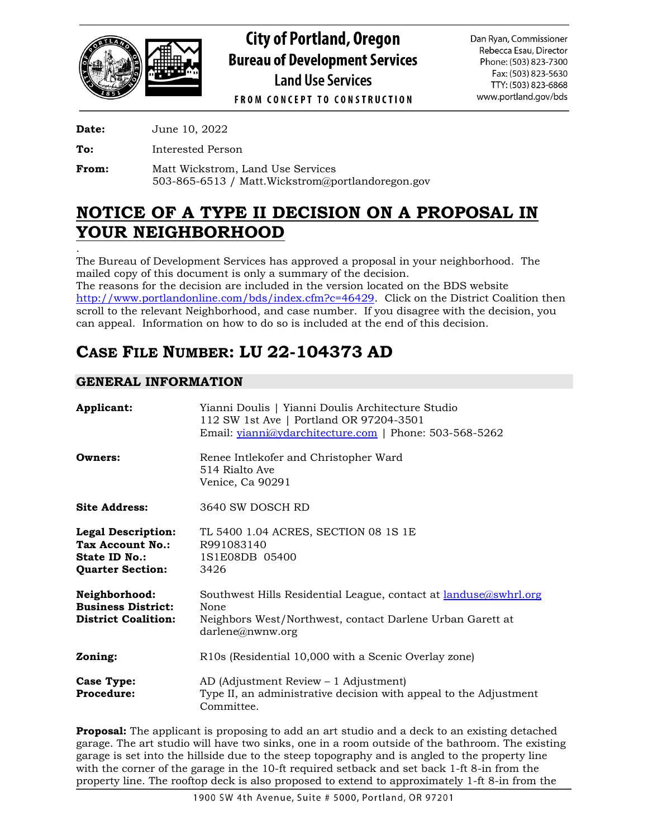

**City of Portland, Oregon Bureau of Development Services Land Use Services** 

Dan Ryan, Commissioner Rebecca Esau, Director Phone: (503) 823-7300 Fax: (503) 823-5630 TTY: (503) 823-6868 www.portland.gov/bds

**FROM CONCEPT TO CONSTRUCTION** 

**Date:** June 10, 2022

**To:** Interested Person

**From:** Matt Wickstrom, Land Use Services 503-865-6513 / Matt.Wickstrom@portlandoregon.gov

# **NOTICE OF A TYPE II DECISION ON A PROPOSAL IN YOUR NEIGHBORHOOD**

. The Bureau of Development Services has approved a proposal in your neighborhood. The mailed copy of this document is only a summary of the decision. The reasons for the decision are included in the version located on the BDS website [http://www.portlandonline.com/bds/index.cfm?c=46429.](http://www.portlandonline.com/bds/index.cfm?c=46429) Click on the District Coalition then scroll to the relevant Neighborhood, and case number. If you disagree with the decision, you can appeal. Information on how to do so is included at the end of this decision.

# **CASE FILE NUMBER: LU 22-104373 AD**

## **GENERAL INFORMATION**

| Applicant:                                                                                       | Yianni Doulis   Yianni Doulis Architecture Studio<br>112 SW 1st Ave   Portland OR 97204-3501<br>Email: yianni@ydarchitecture.com   Phone: 503-568-5262           |
|--------------------------------------------------------------------------------------------------|------------------------------------------------------------------------------------------------------------------------------------------------------------------|
| Owners:                                                                                          | Renee Intlekofer and Christopher Ward<br>514 Rialto Ave<br>Venice, Ca 90291                                                                                      |
| <b>Site Address:</b>                                                                             | 3640 SW DOSCH RD                                                                                                                                                 |
| <b>Legal Description:</b><br><b>Tax Account No.:</b><br>State ID No.:<br><b>Quarter Section:</b> | TL 5400 1.04 ACRES, SECTION 08 1S 1E<br>R991083140<br>1S1E08DB 05400<br>3426                                                                                     |
| Neighborhood:<br><b>Business District:</b><br><b>District Coalition:</b>                         | Southwest Hills Residential League, contact at <u>landuse@swhrl.org</u><br>None<br>Neighbors West/Northwest, contact Darlene Urban Garett at<br>darlene@nwmw.org |
| Zoning:                                                                                          | R10s (Residential 10,000 with a Scenic Overlay zone)                                                                                                             |
| Case Type:<br>Procedure:                                                                         | AD (Adjustment Review – 1 Adjustment)<br>Type II, an administrative decision with appeal to the Adjustment<br>Committee.                                         |

**Proposal:** The applicant is proposing to add an art studio and a deck to an existing detached garage. The art studio will have two sinks, one in a room outside of the bathroom. The existing garage is set into the hillside due to the steep topography and is angled to the property line with the corner of the garage in the 10-ft required setback and set back 1-ft 8-in from the property line. The rooftop deck is also proposed to extend to approximately 1-ft 8-in from the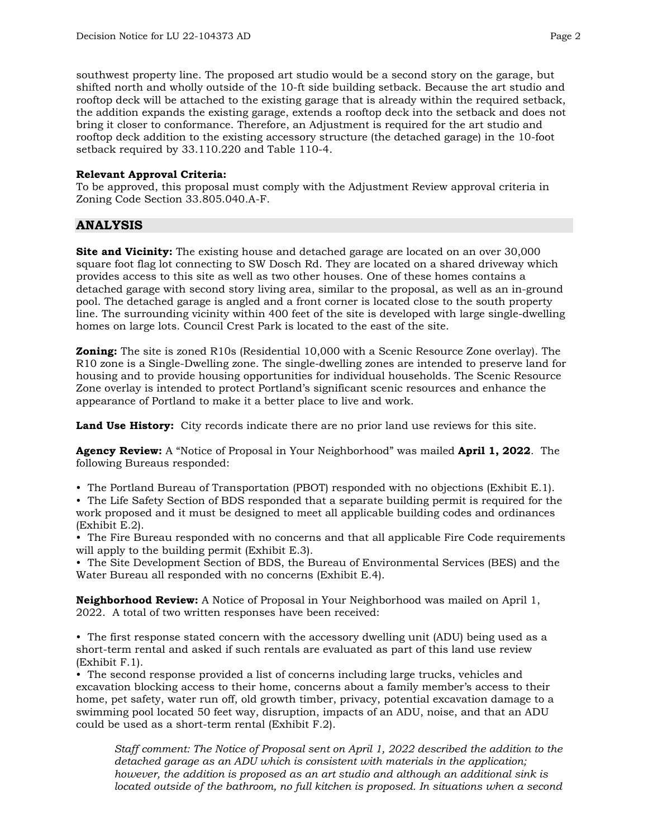southwest property line. The proposed art studio would be a second story on the garage, but shifted north and wholly outside of the 10-ft side building setback. Because the art studio and rooftop deck will be attached to the existing garage that is already within the required setback, the addition expands the existing garage, extends a rooftop deck into the setback and does not bring it closer to conformance. Therefore, an Adjustment is required for the art studio and rooftop deck addition to the existing accessory structure (the detached garage) in the 10-foot setback required by 33.110.220 and Table 110-4.

## **Relevant Approval Criteria:**

To be approved, this proposal must comply with the Adjustment Review approval criteria in Zoning Code Section 33.805.040.A-F.

## **ANALYSIS**

**Site and Vicinity:** The existing house and detached garage are located on an over 30,000 square foot flag lot connecting to SW Dosch Rd. They are located on a shared driveway which provides access to this site as well as two other houses. One of these homes contains a detached garage with second story living area, similar to the proposal, as well as an in-ground pool. The detached garage is angled and a front corner is located close to the south property line. The surrounding vicinity within 400 feet of the site is developed with large single-dwelling homes on large lots. Council Crest Park is located to the east of the site.

**Zoning:** The site is zoned R10s (Residential 10,000 with a Scenic Resource Zone overlay). The R10 zone is a Single-Dwelling zone. The single-dwelling zones are intended to preserve land for housing and to provide housing opportunities for individual households. The Scenic Resource Zone overlay is intended to protect Portland's significant scenic resources and enhance the appearance of Portland to make it a better place to live and work.

**Land Use History:** City records indicate there are no prior land use reviews for this site.

**Agency Review:** A "Notice of Proposal in Your Neighborhood" was mailed **April 1, 2022**. The following Bureaus responded:

• The Portland Bureau of Transportation (PBOT) responded with no objections (Exhibit E.1).

• The Life Safety Section of BDS responded that a separate building permit is required for the work proposed and it must be designed to meet all applicable building codes and ordinances (Exhibit E.2).

• The Fire Bureau responded with no concerns and that all applicable Fire Code requirements will apply to the building permit (Exhibit E.3).

• The Site Development Section of BDS, the Bureau of Environmental Services (BES) and the Water Bureau all responded with no concerns (Exhibit E.4).

**Neighborhood Review:** A Notice of Proposal in Your Neighborhood was mailed on April 1, 2022. A total of two written responses have been received:

• The first response stated concern with the accessory dwelling unit (ADU) being used as a short-term rental and asked if such rentals are evaluated as part of this land use review (Exhibit F.1).

• The second response provided a list of concerns including large trucks, vehicles and excavation blocking access to their home, concerns about a family member's access to their home, pet safety, water run off, old growth timber, privacy, potential excavation damage to a swimming pool located 50 feet way, disruption, impacts of an ADU, noise, and that an ADU could be used as a short-term rental (Exhibit F.2).

*Staff comment: The Notice of Proposal sent on April 1, 2022 described the addition to the detached garage as an ADU which is consistent with materials in the application; however, the addition is proposed as an art studio and although an additional sink is located outside of the bathroom, no full kitchen is proposed. In situations when a second*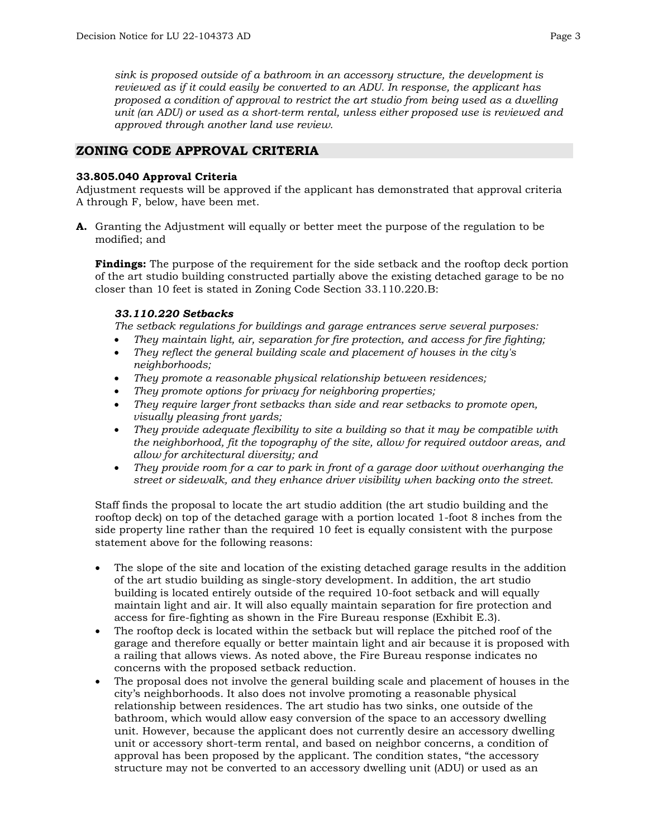*sink is proposed outside of a bathroom in an accessory structure, the development is reviewed as if it could easily be converted to an ADU. In response, the applicant has proposed a condition of approval to restrict the art studio from being used as a dwelling unit (an ADU) or used as a short-term rental, unless either proposed use is reviewed and approved through another land use review.* 

## **ZONING CODE APPROVAL CRITERIA**

#### **33.805.040 Approval Criteria**

Adjustment requests will be approved if the applicant has demonstrated that approval criteria A through F, below, have been met.

**A.** Granting the Adjustment will equally or better meet the purpose of the regulation to be modified; and

**Findings:** The purpose of the requirement for the side setback and the rooftop deck portion of the art studio building constructed partially above the existing detached garage to be no closer than 10 feet is stated in Zoning Code Section 33.110.220.B:

## *33.110.220 Setbacks*

*The setback regulations for buildings and garage entrances serve several purposes:*

- *They maintain light, air, separation for fire protection, and access for fire fighting;*
- *They reflect the general building scale and placement of houses in the city's neighborhoods;*
- *They promote a reasonable physical relationship between residences;*
- *They promote options for privacy for neighboring properties;*
- *They require larger front setbacks than side and rear setbacks to promote open, visually pleasing front yards;*
- *They provide adequate flexibility to site a building so that it may be compatible with the neighborhood, fit the topography of the site, allow for required outdoor areas, and allow for architectural diversity; and*
- *They provide room for a car to park in front of a garage door without overhanging the street or sidewalk, and they enhance driver visibility when backing onto the street.*

Staff finds the proposal to locate the art studio addition (the art studio building and the rooftop deck) on top of the detached garage with a portion located 1-foot 8 inches from the side property line rather than the required 10 feet is equally consistent with the purpose statement above for the following reasons:

- The slope of the site and location of the existing detached garage results in the addition of the art studio building as single-story development. In addition, the art studio building is located entirely outside of the required 10-foot setback and will equally maintain light and air. It will also equally maintain separation for fire protection and access for fire-fighting as shown in the Fire Bureau response (Exhibit E.3).
- The rooftop deck is located within the setback but will replace the pitched roof of the garage and therefore equally or better maintain light and air because it is proposed with a railing that allows views. As noted above, the Fire Bureau response indicates no concerns with the proposed setback reduction.
- The proposal does not involve the general building scale and placement of houses in the city's neighborhoods. It also does not involve promoting a reasonable physical relationship between residences. The art studio has two sinks, one outside of the bathroom, which would allow easy conversion of the space to an accessory dwelling unit. However, because the applicant does not currently desire an accessory dwelling unit or accessory short-term rental, and based on neighbor concerns, a condition of approval has been proposed by the applicant. The condition states, "the accessory structure may not be converted to an accessory dwelling unit (ADU) or used as an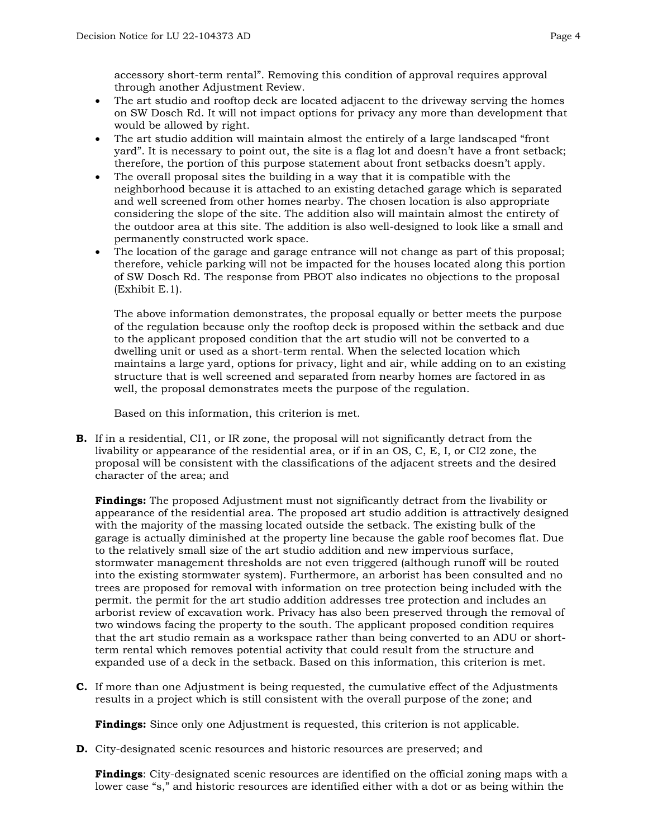accessory short-term rental". Removing this condition of approval requires approval through another Adjustment Review.

- The art studio and rooftop deck are located adjacent to the driveway serving the homes on SW Dosch Rd. It will not impact options for privacy any more than development that would be allowed by right.
- The art studio addition will maintain almost the entirely of a large landscaped "front" yard". It is necessary to point out, the site is a flag lot and doesn't have a front setback; therefore, the portion of this purpose statement about front setbacks doesn't apply.
- The overall proposal sites the building in a way that it is compatible with the neighborhood because it is attached to an existing detached garage which is separated and well screened from other homes nearby. The chosen location is also appropriate considering the slope of the site. The addition also will maintain almost the entirety of the outdoor area at this site. The addition is also well-designed to look like a small and permanently constructed work space.
- The location of the garage and garage entrance will not change as part of this proposal; therefore, vehicle parking will not be impacted for the houses located along this portion of SW Dosch Rd. The response from PBOT also indicates no objections to the proposal (Exhibit E.1).

The above information demonstrates, the proposal equally or better meets the purpose of the regulation because only the rooftop deck is proposed within the setback and due to the applicant proposed condition that the art studio will not be converted to a dwelling unit or used as a short-term rental. When the selected location which maintains a large yard, options for privacy, light and air, while adding on to an existing structure that is well screened and separated from nearby homes are factored in as well, the proposal demonstrates meets the purpose of the regulation.

Based on this information, this criterion is met.

**B.** If in a residential, CI1, or IR zone, the proposal will not significantly detract from the livability or appearance of the residential area, or if in an OS, C, E, I, or CI2 zone, the proposal will be consistent with the classifications of the adjacent streets and the desired character of the area; and

**Findings:** The proposed Adjustment must not significantly detract from the livability or appearance of the residential area. The proposed art studio addition is attractively designed with the majority of the massing located outside the setback. The existing bulk of the garage is actually diminished at the property line because the gable roof becomes flat. Due to the relatively small size of the art studio addition and new impervious surface, stormwater management thresholds are not even triggered (although runoff will be routed into the existing stormwater system). Furthermore, an arborist has been consulted and no trees are proposed for removal with information on tree protection being included with the permit. the permit for the art studio addition addresses tree protection and includes an arborist review of excavation work. Privacy has also been preserved through the removal of two windows facing the property to the south. The applicant proposed condition requires that the art studio remain as a workspace rather than being converted to an ADU or shortterm rental which removes potential activity that could result from the structure and expanded use of a deck in the setback. Based on this information, this criterion is met.

**C.** If more than one Adjustment is being requested, the cumulative effect of the Adjustments results in a project which is still consistent with the overall purpose of the zone; and

**Findings:** Since only one Adjustment is requested, this criterion is not applicable.

**D.** City-designated scenic resources and historic resources are preserved; and

**Findings**: City-designated scenic resources are identified on the official zoning maps with a lower case "s," and historic resources are identified either with a dot or as being within the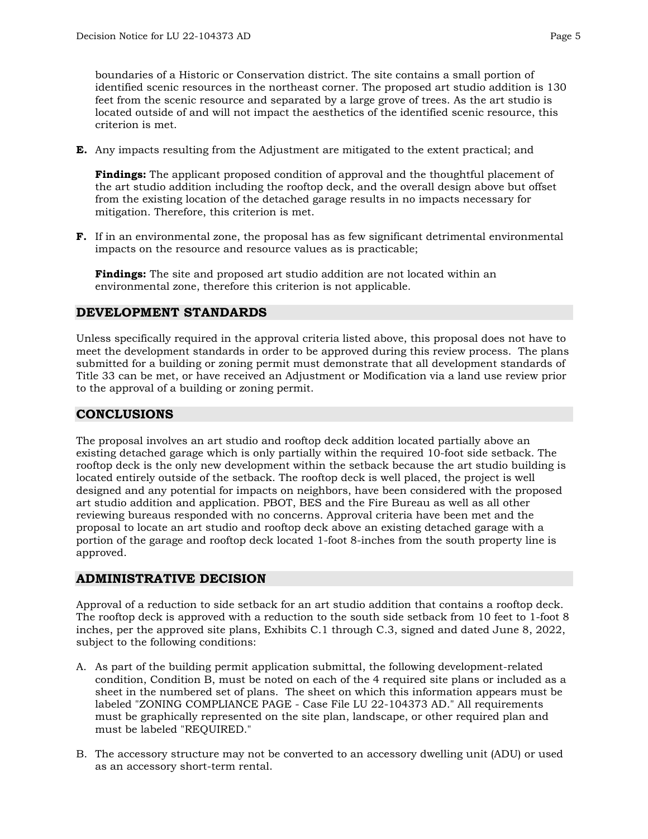boundaries of a Historic or Conservation district. The site contains a small portion of identified scenic resources in the northeast corner. The proposed art studio addition is 130 feet from the scenic resource and separated by a large grove of trees. As the art studio is located outside of and will not impact the aesthetics of the identified scenic resource, this criterion is met.

**E.** Any impacts resulting from the Adjustment are mitigated to the extent practical; and

**Findings:** The applicant proposed condition of approval and the thoughtful placement of the art studio addition including the rooftop deck, and the overall design above but offset from the existing location of the detached garage results in no impacts necessary for mitigation. Therefore, this criterion is met.

**F.** If in an environmental zone, the proposal has as few significant detrimental environmental impacts on the resource and resource values as is practicable;

**Findings:** The site and proposed art studio addition are not located within an environmental zone, therefore this criterion is not applicable.

## **DEVELOPMENT STANDARDS**

Unless specifically required in the approval criteria listed above, this proposal does not have to meet the development standards in order to be approved during this review process. The plans submitted for a building or zoning permit must demonstrate that all development standards of Title 33 can be met, or have received an Adjustment or Modification via a land use review prior to the approval of a building or zoning permit.

## **CONCLUSIONS**

The proposal involves an art studio and rooftop deck addition located partially above an existing detached garage which is only partially within the required 10-foot side setback. The rooftop deck is the only new development within the setback because the art studio building is located entirely outside of the setback. The rooftop deck is well placed, the project is well designed and any potential for impacts on neighbors, have been considered with the proposed art studio addition and application. PBOT, BES and the Fire Bureau as well as all other reviewing bureaus responded with no concerns. Approval criteria have been met and the proposal to locate an art studio and rooftop deck above an existing detached garage with a portion of the garage and rooftop deck located 1-foot 8-inches from the south property line is approved.

## **ADMINISTRATIVE DECISION**

Approval of a reduction to side setback for an art studio addition that contains a rooftop deck. The rooftop deck is approved with a reduction to the south side setback from 10 feet to 1-foot 8 inches, per the approved site plans, Exhibits C.1 through C.3, signed and dated June 8, 2022, subject to the following conditions:

- A. As part of the building permit application submittal, the following development-related condition, Condition B, must be noted on each of the 4 required site plans or included as a sheet in the numbered set of plans. The sheet on which this information appears must be labeled "ZONING COMPLIANCE PAGE - Case File LU 22-104373 AD." All requirements must be graphically represented on the site plan, landscape, or other required plan and must be labeled "REQUIRED."
- B. The accessory structure may not be converted to an accessory dwelling unit (ADU) or used as an accessory short-term rental.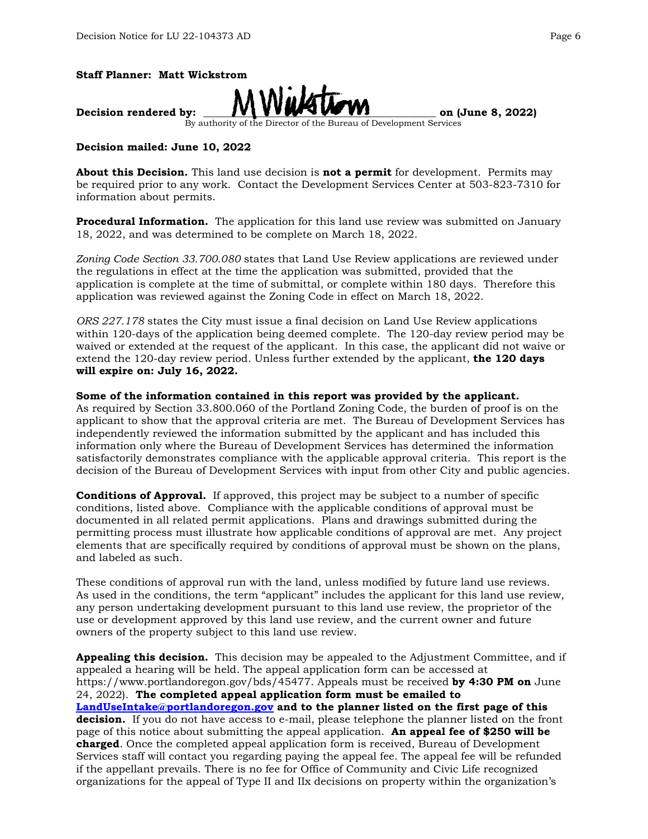



By authority of the Director of the Bureau of Development Services

#### **Decision mailed: June 10, 2022**

**About this Decision.** This land use decision is **not a permit** for development. Permits may be required prior to any work. Contact the Development Services Center at 503-823-7310 for information about permits.

**Procedural Information.** The application for this land use review was submitted on January 18, 2022, and was determined to be complete on March 18, 2022.

*Zoning Code Section 33.700.080* states that Land Use Review applications are reviewed under the regulations in effect at the time the application was submitted, provided that the application is complete at the time of submittal, or complete within 180 days. Therefore this application was reviewed against the Zoning Code in effect on March 18, 2022.

*ORS 227.178* states the City must issue a final decision on Land Use Review applications within 120-days of the application being deemed complete. The 120-day review period may be waived or extended at the request of the applicant. In this case, the applicant did not waive or extend the 120-day review period. Unless further extended by the applicant, **the 120 days will expire on: July 16, 2022.**

#### **Some of the information contained in this report was provided by the applicant.**

As required by Section 33.800.060 of the Portland Zoning Code, the burden of proof is on the applicant to show that the approval criteria are met. The Bureau of Development Services has independently reviewed the information submitted by the applicant and has included this information only where the Bureau of Development Services has determined the information satisfactorily demonstrates compliance with the applicable approval criteria. This report is the decision of the Bureau of Development Services with input from other City and public agencies.

**Conditions of Approval.** If approved, this project may be subject to a number of specific conditions, listed above. Compliance with the applicable conditions of approval must be documented in all related permit applications. Plans and drawings submitted during the permitting process must illustrate how applicable conditions of approval are met. Any project elements that are specifically required by conditions of approval must be shown on the plans, and labeled as such.

These conditions of approval run with the land, unless modified by future land use reviews. As used in the conditions, the term "applicant" includes the applicant for this land use review, any person undertaking development pursuant to this land use review, the proprietor of the use or development approved by this land use review, and the current owner and future owners of the property subject to this land use review.

**Appealing this decision.** This decision may be appealed to the Adjustment Committee, and if appealed a hearing will be held. The appeal application form can be accessed at https://www.portlandoregon.gov/bds/45477. Appeals must be received **by 4:30 PM on** June 24, 2022). **The completed appeal application form must be emailed to [LandUseIntake@portlandoregon.gov](mailto:LandUseIntake@portlandoregon.gov) and to the planner listed on the first page of this decision.** If you do not have access to e-mail, please telephone the planner listed on the front page of this notice about submitting the appeal application. **An appeal fee of \$250 will be charged**. Once the completed appeal application form is received, Bureau of Development Services staff will contact you regarding paying the appeal fee. The appeal fee will be refunded if the appellant prevails. There is no fee for Office of Community and Civic Life recognized organizations for the appeal of Type II and IIx decisions on property within the organization's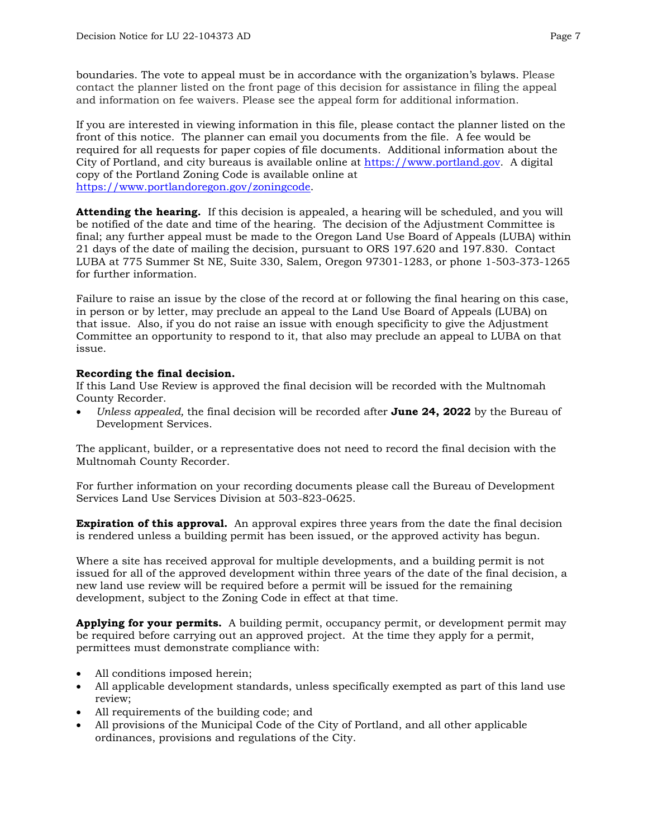boundaries. The vote to appeal must be in accordance with the organization's bylaws. Please contact the planner listed on the front page of this decision for assistance in filing the appeal and information on fee waivers. Please see the appeal form for additional information.

If you are interested in viewing information in this file, please contact the planner listed on the front of this notice. The planner can email you documents from the file. A fee would be required for all requests for paper copies of file documents. Additional information about the City of Portland, and city bureaus is available online at [https://www.portland.gov.](https://www.portland.gov/) A digital copy of the Portland Zoning Code is available online at [https://www.portlandoregon.gov/zoningcode.](https://www.portlandoregon.gov/zoningcode)

**Attending the hearing.** If this decision is appealed, a hearing will be scheduled, and you will be notified of the date and time of the hearing. The decision of the Adjustment Committee is final; any further appeal must be made to the Oregon Land Use Board of Appeals (LUBA) within 21 days of the date of mailing the decision, pursuant to ORS 197.620 and 197.830. Contact LUBA at 775 Summer St NE, Suite 330, Salem, Oregon 97301-1283, or phone 1-503-373-1265 for further information.

Failure to raise an issue by the close of the record at or following the final hearing on this case, in person or by letter, may preclude an appeal to the Land Use Board of Appeals (LUBA) on that issue. Also, if you do not raise an issue with enough specificity to give the Adjustment Committee an opportunity to respond to it, that also may preclude an appeal to LUBA on that issue.

## **Recording the final decision.**

If this Land Use Review is approved the final decision will be recorded with the Multnomah County Recorder.

• *Unless appealed,* the final decision will be recorded after **June 24, 2022** by the Bureau of Development Services.

The applicant, builder, or a representative does not need to record the final decision with the Multnomah County Recorder.

For further information on your recording documents please call the Bureau of Development Services Land Use Services Division at 503-823-0625.

**Expiration of this approval.** An approval expires three years from the date the final decision is rendered unless a building permit has been issued, or the approved activity has begun.

Where a site has received approval for multiple developments, and a building permit is not issued for all of the approved development within three years of the date of the final decision, a new land use review will be required before a permit will be issued for the remaining development, subject to the Zoning Code in effect at that time.

**Applying for your permits.** A building permit, occupancy permit, or development permit may be required before carrying out an approved project. At the time they apply for a permit, permittees must demonstrate compliance with:

- All conditions imposed herein;
- All applicable development standards, unless specifically exempted as part of this land use review;
- All requirements of the building code; and
- All provisions of the Municipal Code of the City of Portland, and all other applicable ordinances, provisions and regulations of the City.